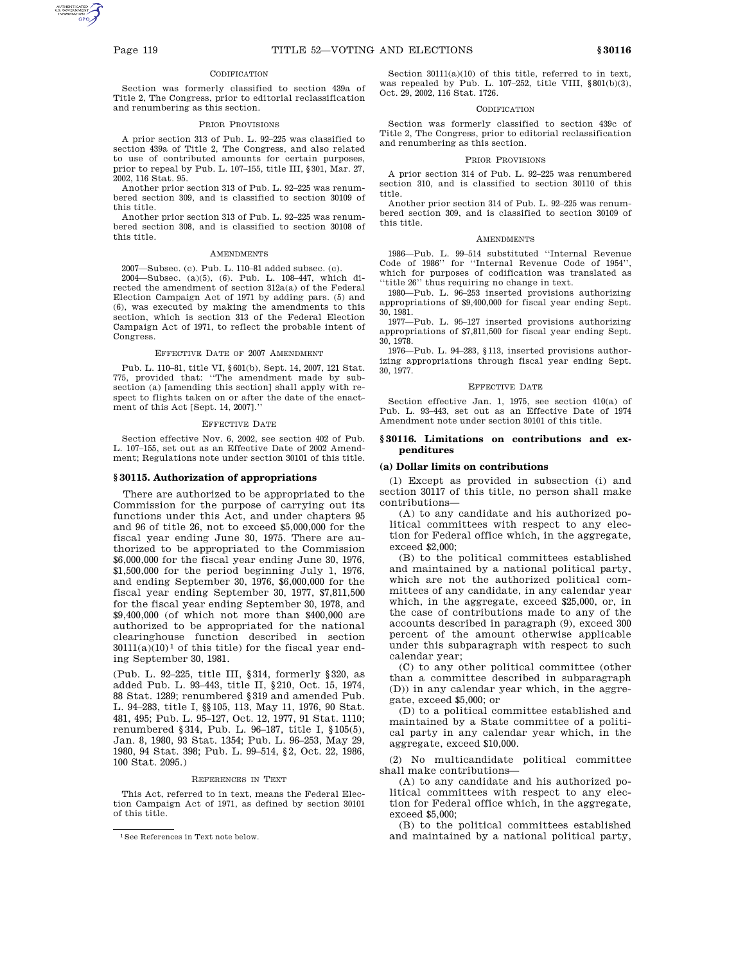#### **CODIFICATION**

Section was formerly classified to section 439a of Title 2, The Congress, prior to editorial reclassification and renumbering as this section.

#### PRIOR PROVISIONS

A prior section 313 of Pub. L. 92–225 was classified to section 439a of Title 2, The Congress, and also related to use of contributed amounts for certain purposes, prior to repeal by Pub. L. 107–155, title III, §301, Mar. 27, 2002, 116 Stat. 95.

Another prior section 313 of Pub. L. 92–225 was renumbered section 309, and is classified to section 30109 of this title.

Another prior section 313 of Pub. L. 92–225 was renumbered section 308, and is classified to section 30108 of this title.

#### **AMENDMENTS**

2007—Subsec. (c). Pub. L. 110–81 added subsec. (c).

2004—Subsec. (a)(5), (6). Pub. L. 108–447, which directed the amendment of section 312a(a) of the Federal Election Campaign Act of 1971 by adding pars. (5) and (6), was executed by making the amendments to this section, which is section 313 of the Federal Election Campaign Act of 1971, to reflect the probable intent of Congress.

#### EFFECTIVE DATE OF 2007 AMENDMENT

Pub. L. 110–81, title VI, §601(b), Sept. 14, 2007, 121 Stat. 775, provided that: ''The amendment made by subsection (a) [amending this section] shall apply with respect to flights taken on or after the date of the enactment of this Act [Sept. 14, 2007].''

#### EFFECTIVE DATE

Section effective Nov. 6, 2002, see section 402 of Pub. L. 107–155, set out as an Effective Date of 2002 Amendment; Regulations note under section 30101 of this title.

#### **§ 30115. Authorization of appropriations**

There are authorized to be appropriated to the Commission for the purpose of carrying out its functions under this Act, and under chapters 95 and 96 of title 26, not to exceed \$5,000,000 for the fiscal year ending June 30, 1975. There are authorized to be appropriated to the Commission \$6,000,000 for the fiscal year ending June 30, 1976, \$1,500,000 for the period beginning July 1, 1976, and ending September 30, 1976, \$6,000,000 for the fiscal year ending September 30, 1977, \$7,811,500 for the fiscal year ending September 30, 1978, and \$9,400,000 (of which not more than \$400,000 are authorized to be appropriated for the national clearinghouse function described in section  $30111(a)(10)<sup>1</sup>$  of this title) for the fiscal year ending September 30, 1981.

(Pub. L. 92–225, title III, §314, formerly §320, as added Pub. L. 93–443, title II, §210, Oct. 15, 1974, 88 Stat. 1289; renumbered §319 and amended Pub. L. 94–283, title I, §§105, 113, May 11, 1976, 90 Stat. 481, 495; Pub. L. 95–127, Oct. 12, 1977, 91 Stat. 1110; renumbered §314, Pub. L. 96–187, title I, §105(5), Jan. 8, 1980, 93 Stat. 1354; Pub. L. 96–253, May 29, 1980, 94 Stat. 398; Pub. L. 99–514, §2, Oct. 22, 1986, 100 Stat. 2095.)

#### REFERENCES IN TEXT

This Act, referred to in text, means the Federal Election Campaign Act of 1971, as defined by section 30101 of this title.

Section 30111(a)(10) of this title, referred to in text, was repealed by Pub. L. 107–252, title VIII, §801(b)(3), Oct. 29, 2002, 116 Stat. 1726.

#### **CODIFICATION**

Section was formerly classified to section 439c of Title 2, The Congress, prior to editorial reclassification and renumbering as this section.

#### PRIOR PROVISIONS

A prior section 314 of Pub. L. 92–225 was renumbered section 310, and is classified to section 30110 of this title.

Another prior section 314 of Pub. L. 92–225 was renumbered section 309, and is classified to section 30109 of this title.

#### AMENDMENTS

1986—Pub. L. 99–514 substituted ''Internal Revenue Code of 1986'' for ''Internal Revenue Code of 1954'', which for purposes of codification was translated as 'title 26" thus requiring no change in text.

1980—Pub. L. 96–253 inserted provisions authorizing appropriations of \$9,400,000 for fiscal year ending Sept. 30, 1981.

1977—Pub. L. 95–127 inserted provisions authorizing appropriations of \$7,811,500 for fiscal year ending Sept. 30, 1978.

1976—Pub. L. 94–283, §113, inserted provisions authorizing appropriations through fiscal year ending Sept. 30, 1977.

#### EFFECTIVE DATE

Section effective Jan. 1, 1975, see section 410(a) of Pub. L. 93–443, set out as an Effective Date of 1974 Amendment note under section 30101 of this title.

#### **§ 30116. Limitations on contributions and expenditures**

## **(a) Dollar limits on contributions**

(1) Except as provided in subsection (i) and section 30117 of this title, no person shall make contributions—

(A) to any candidate and his authorized political committees with respect to any election for Federal office which, in the aggregate, exceed \$2,000;

(B) to the political committees established and maintained by a national political party, which are not the authorized political committees of any candidate, in any calendar year which, in the aggregate, exceed \$25,000, or, in the case of contributions made to any of the accounts described in paragraph (9), exceed 300 percent of the amount otherwise applicable under this subparagraph with respect to such calendar year;

(C) to any other political committee (other than a committee described in subparagraph (D)) in any calendar year which, in the aggregate, exceed \$5,000; or

(D) to a political committee established and maintained by a State committee of a political party in any calendar year which, in the aggregate, exceed \$10,000.

(2) No multicandidate political committee shall make contributions—

(A) to any candidate and his authorized political committees with respect to any election for Federal office which, in the aggregate, exceed \$5,000;

(B) to the political committees established and maintained by a national political party,

<sup>1</sup>See References in Text note below.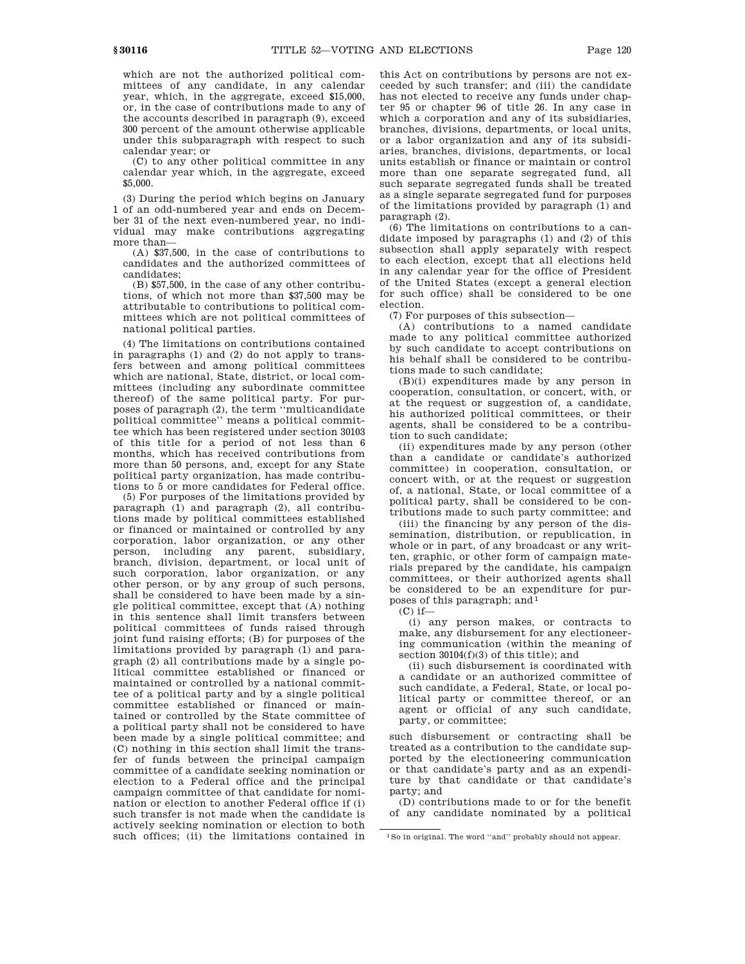which are not the authorized political committees of any candidate, in any calendar year, which, in the aggregate, exceed \$15,000, or, in the case of contributions made to any of the accounts described in paragraph (9), exceed 300 percent of the amount otherwise applicable under this subparagraph with respect to such calendar year; or

(C) to any other political committee in any calendar year which, in the aggregate, exceed \$5,000.

(3) During the period which begins on January 1 of an odd-numbered year and ends on December 31 of the next even-numbered year, no individual may make contributions aggregating more than—

(A) \$37,500, in the case of contributions to candidates and the authorized committees of candidates;

(B) \$57,500, in the case of any other contributions, of which not more than \$37,500 may be attributable to contributions to political committees which are not political committees of national political parties.

(4) The limitations on contributions contained in paragraphs (1) and (2) do not apply to transfers between and among political committees which are national, State, district, or local committees (including any subordinate committee thereof) of the same political party. For purposes of paragraph (2), the term ''multicandidate political committee'' means a political committee which has been registered under section 30103 of this title for a period of not less than 6 months, which has received contributions from more than 50 persons, and, except for any State political party organization, has made contributions to 5 or more candidates for Federal office.

(5) For purposes of the limitations provided by paragraph (1) and paragraph (2), all contributions made by political committees established or financed or maintained or controlled by any corporation, labor organization, or any other person, including any parent, subsidiary, branch, division, department, or local unit of such corporation, labor organization, or any other person, or by any group of such persons, shall be considered to have been made by a single political committee, except that (A) nothing in this sentence shall limit transfers between political committees of funds raised through joint fund raising efforts; (B) for purposes of the limitations provided by paragraph (1) and paragraph (2) all contributions made by a single political committee established or financed or maintained or controlled by a national committee of a political party and by a single political committee established or financed or maintained or controlled by the State committee of a political party shall not be considered to have been made by a single political committee; and (C) nothing in this section shall limit the transfer of funds between the principal campaign committee of a candidate seeking nomination or election to a Federal office and the principal campaign committee of that candidate for nomination or election to another Federal office if (i) such transfer is not made when the candidate is actively seeking nomination or election to both such offices; (ii) the limitations contained in this Act on contributions by persons are not exceeded by such transfer; and (iii) the candidate has not elected to receive any funds under chapter 95 or chapter 96 of title 26. In any case in which a corporation and any of its subsidiaries, branches, divisions, departments, or local units, or a labor organization and any of its subsidiaries, branches, divisions, departments, or local units establish or finance or maintain or control more than one separate segregated fund, all such separate segregated funds shall be treated as a single separate segregated fund for purposes of the limitations provided by paragraph (1) and paragraph (2).

(6) The limitations on contributions to a candidate imposed by paragraphs (1) and (2) of this subsection shall apply separately with respect to each election, except that all elections held in any calendar year for the office of President of the United States (except a general election for such office) shall be considered to be one election.

(7) For purposes of this subsection—

(A) contributions to a named candidate made to any political committee authorized by such candidate to accept contributions on his behalf shall be considered to be contributions made to such candidate;

(B)(i) expenditures made by any person in cooperation, consultation, or concert, with, or at the request or suggestion of, a candidate, his authorized political committees, or their agents, shall be considered to be a contribution to such candidate;

(ii) expenditures made by any person (other than a candidate or candidate's authorized committee) in cooperation, consultation, or concert with, or at the request or suggestion of, a national, State, or local committee of a political party, shall be considered to be contributions made to such party committee; and

(iii) the financing by any person of the dissemination, distribution, or republication, in whole or in part, of any broadcast or any written, graphic, or other form of campaign materials prepared by the candidate, his campaign committees, or their authorized agents shall be considered to be an expenditure for purposes of this paragraph; and 1

 $(C)$  if—

(i) any person makes, or contracts to make, any disbursement for any electioneering communication (within the meaning of section 30104(f)(3) of this title); and

(ii) such disbursement is coordinated with a candidate or an authorized committee of such candidate, a Federal, State, or local political party or committee thereof, or an agent or official of any such candidate, party, or committee;

such disbursement or contracting shall be treated as a contribution to the candidate supported by the electioneering communication or that candidate's party and as an expenditure by that candidate or that candidate's party; and

(D) contributions made to or for the benefit of any candidate nominated by a political

<sup>1</sup>So in original. The word ''and'' probably should not appear.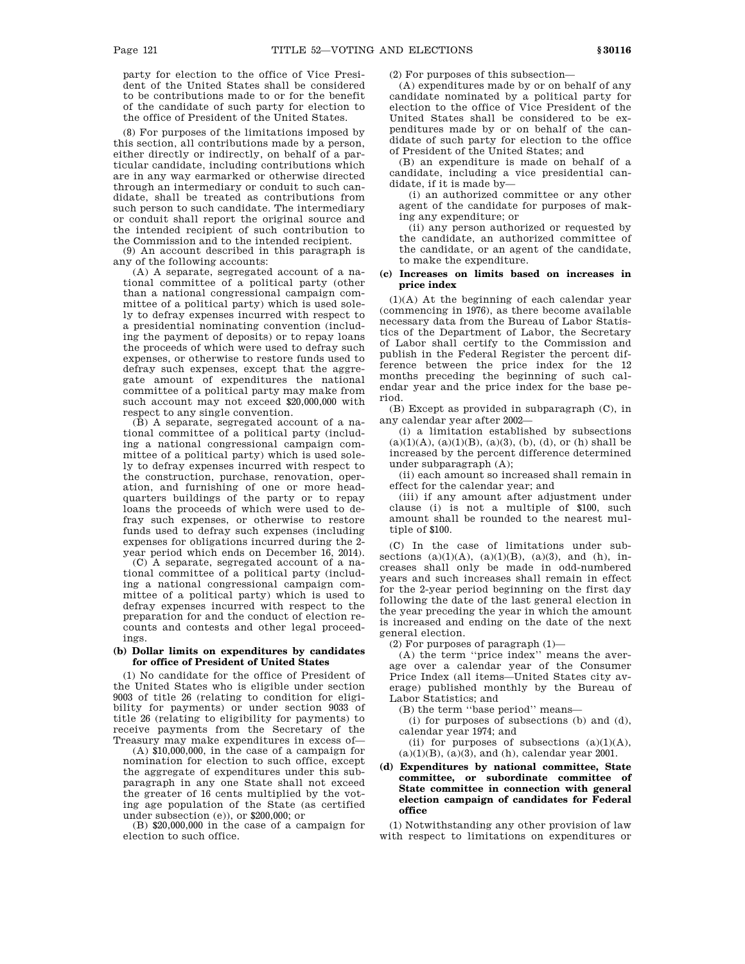party for election to the office of Vice President of the United States shall be considered to be contributions made to or for the benefit of the candidate of such party for election to the office of President of the United States.

(8) For purposes of the limitations imposed by this section, all contributions made by a person, either directly or indirectly, on behalf of a particular candidate, including contributions which are in any way earmarked or otherwise directed through an intermediary or conduit to such candidate, shall be treated as contributions from such person to such candidate. The intermediary or conduit shall report the original source and the intended recipient of such contribution to the Commission and to the intended recipient.

(9) An account described in this paragraph is any of the following accounts:

(A) A separate, segregated account of a national committee of a political party (other than a national congressional campaign committee of a political party) which is used solely to defray expenses incurred with respect to a presidential nominating convention (including the payment of deposits) or to repay loans the proceeds of which were used to defray such expenses, or otherwise to restore funds used to defray such expenses, except that the aggregate amount of expenditures the national committee of a political party may make from such account may not exceed \$20,000,000 with respect to any single convention.

(B) A separate, segregated account of a national committee of a political party (including a national congressional campaign committee of a political party) which is used solely to defray expenses incurred with respect to the construction, purchase, renovation, operation, and furnishing of one or more headquarters buildings of the party or to repay loans the proceeds of which were used to defray such expenses, or otherwise to restore funds used to defray such expenses (including expenses for obligations incurred during the 2 year period which ends on December 16, 2014).

(C) A separate, segregated account of a national committee of a political party (including a national congressional campaign committee of a political party) which is used to defray expenses incurred with respect to the preparation for and the conduct of election recounts and contests and other legal proceedings.

## **(b) Dollar limits on expenditures by candidates for office of President of United States**

(1) No candidate for the office of President of the United States who is eligible under section 9003 of title 26 (relating to condition for eligibility for payments) or under section 9033 of title 26 (relating to eligibility for payments) to receive payments from the Secretary of the Treasury may make expenditures in excess of—

(A) \$10,000,000, in the case of a campaign for nomination for election to such office, except the aggregate of expenditures under this subparagraph in any one State shall not exceed the greater of 16 cents multiplied by the voting age population of the State (as certified under subsection (e)), or \$200,000; or

(B) \$20,000,000 in the case of a campaign for election to such office.

(2) For purposes of this subsection—

(A) expenditures made by or on behalf of any candidate nominated by a political party for election to the office of Vice President of the United States shall be considered to be expenditures made by or on behalf of the candidate of such party for election to the office of President of the United States; and

(B) an expenditure is made on behalf of a candidate, including a vice presidential candidate, if it is made by—

(i) an authorized committee or any other agent of the candidate for purposes of making any expenditure; or

(ii) any person authorized or requested by the candidate, an authorized committee of the candidate, or an agent of the candidate, to make the expenditure.

## **(c) Increases on limits based on increases in price index**

(1)(A) At the beginning of each calendar year (commencing in 1976), as there become available necessary data from the Bureau of Labor Statistics of the Department of Labor, the Secretary of Labor shall certify to the Commission and publish in the Federal Register the percent difference between the price index for the 12 months preceding the beginning of such calendar year and the price index for the base period.

(B) Except as provided in subparagraph (C), in any calendar year after 2002—

(i) a limitation established by subsections  $(a)(1)(A), (a)(1)(B), (a)(3), (b), (d), or (h) shall be$ increased by the percent difference determined under subparagraph (A);

(ii) each amount so increased shall remain in effect for the calendar year; and

(iii) if any amount after adjustment under clause (i) is not a multiple of \$100, such amount shall be rounded to the nearest multiple of \$100.

(C) In the case of limitations under subsections  $(a)(1)(A)$ ,  $(a)(1)(B)$ ,  $(a)(3)$ , and  $(h)$ , increases shall only be made in odd-numbered years and such increases shall remain in effect for the 2-year period beginning on the first day following the date of the last general election in the year preceding the year in which the amount is increased and ending on the date of the next general election.

(2) For purposes of paragraph  $(1)$ —

(A) the term ''price index'' means the average over a calendar year of the Consumer Price Index (all items—United States city average) published monthly by the Bureau of Labor Statistics; and

(B) the term ''base period'' means—

(i) for purposes of subsections (b) and (d), calendar year 1974; and

(ii) for purposes of subsections  $(a)(1)(A)$ ,  $(a)(1)(B)$ ,  $(a)(3)$ , and  $(h)$ , calendar year 2001.

# **(d) Expenditures by national committee, State committee, or subordinate committee of State committee in connection with general election campaign of candidates for Federal office**

(1) Notwithstanding any other provision of law with respect to limitations on expenditures or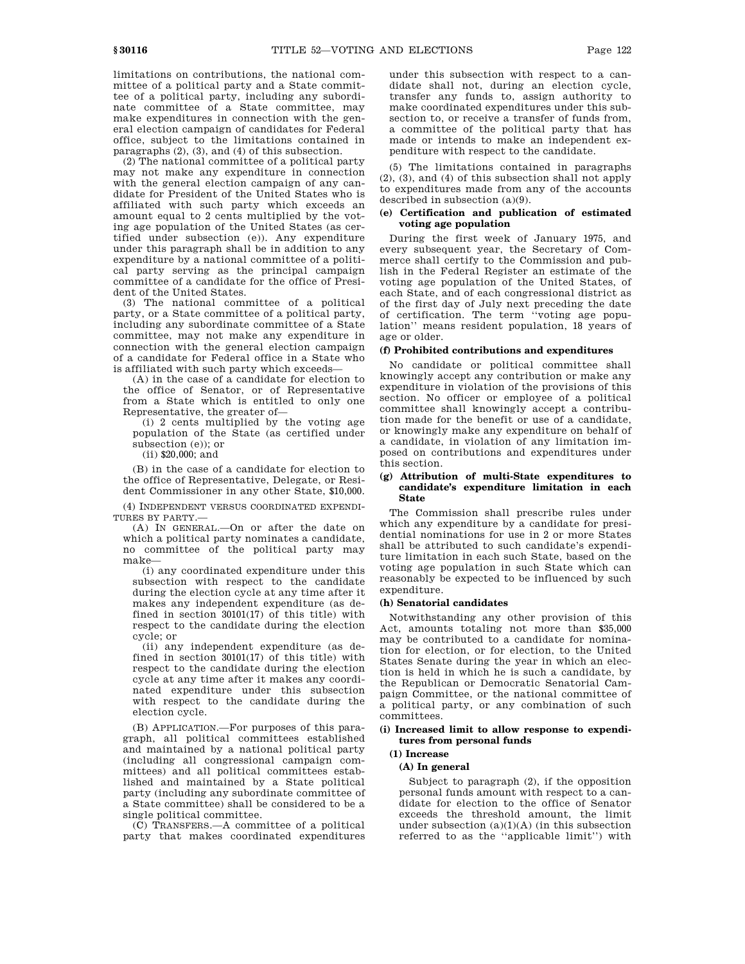limitations on contributions, the national committee of a political party and a State committee of a political party, including any subordinate committee of a State committee, may make expenditures in connection with the general election campaign of candidates for Federal office, subject to the limitations contained in paragraphs (2), (3), and (4) of this subsection.

(2) The national committee of a political party may not make any expenditure in connection with the general election campaign of any candidate for President of the United States who is affiliated with such party which exceeds an amount equal to 2 cents multiplied by the voting age population of the United States (as certified under subsection (e)). Any expenditure under this paragraph shall be in addition to any expenditure by a national committee of a political party serving as the principal campaign committee of a candidate for the office of President of the United States.

(3) The national committee of a political party, or a State committee of a political party, including any subordinate committee of a State committee, may not make any expenditure in connection with the general election campaign of a candidate for Federal office in a State who is affiliated with such party which exceeds—

(A) in the case of a candidate for election to the office of Senator, or of Representative from a State which is entitled to only one Representative, the greater of—

(i) 2 cents multiplied by the voting age population of the State (as certified under subsection (e)); or

(ii) \$20,000; and

(B) in the case of a candidate for election to the office of Representative, Delegate, or Resident Commissioner in any other State, \$10,000.

(4) INDEPENDENT VERSUS COORDINATED EXPENDI-TURES BY PARTY.—

(A) IN GENERAL.—On or after the date on which a political party nominates a candidate, no committee of the political party may make—

(i) any coordinated expenditure under this subsection with respect to the candidate during the election cycle at any time after it makes any independent expenditure (as defined in section 30101(17) of this title) with respect to the candidate during the election cycle; or

(ii) any independent expenditure (as defined in section 30101(17) of this title) with respect to the candidate during the election cycle at any time after it makes any coordinated expenditure under this subsection with respect to the candidate during the election cycle.

(B) APPLICATION.—For purposes of this paragraph, all political committees established and maintained by a national political party (including all congressional campaign committees) and all political committees established and maintained by a State political party (including any subordinate committee of a State committee) shall be considered to be a single political committee.

(C) TRANSFERS.—A committee of a political party that makes coordinated expenditures

under this subsection with respect to a candidate shall not, during an election cycle, transfer any funds to, assign authority to make coordinated expenditures under this subsection to, or receive a transfer of funds from, a committee of the political party that has made or intends to make an independent expenditure with respect to the candidate.

(5) The limitations contained in paragraphs (2), (3), and (4) of this subsection shall not apply to expenditures made from any of the accounts described in subsection (a)(9).

# **(e) Certification and publication of estimated voting age population**

During the first week of January 1975, and every subsequent year, the Secretary of Commerce shall certify to the Commission and publish in the Federal Register an estimate of the voting age population of the United States, of each State, and of each congressional district as of the first day of July next preceding the date of certification. The term ''voting age population'' means resident population, 18 years of age or older.

#### **(f) Prohibited contributions and expenditures**

No candidate or political committee shall knowingly accept any contribution or make any expenditure in violation of the provisions of this section. No officer or employee of a political committee shall knowingly accept a contribution made for the benefit or use of a candidate, or knowingly make any expenditure on behalf of a candidate, in violation of any limitation imposed on contributions and expenditures under this section.

## **(g) Attribution of multi-State expenditures to candidate's expenditure limitation in each State**

The Commission shall prescribe rules under which any expenditure by a candidate for presidential nominations for use in 2 or more States shall be attributed to such candidate's expenditure limitation in each such State, based on the voting age population in such State which can reasonably be expected to be influenced by such expenditure.

#### **(h) Senatorial candidates**

Notwithstanding any other provision of this Act, amounts totaling not more than \$35,000 may be contributed to a candidate for nomination for election, or for election, to the United States Senate during the year in which an election is held in which he is such a candidate, by the Republican or Democratic Senatorial Campaign Committee, or the national committee of a political party, or any combination of such committees.

## **(i) Increased limit to allow response to expenditures from personal funds**

# **(1) Increase**

## **(A) In general**

Subject to paragraph (2), if the opposition personal funds amount with respect to a candidate for election to the office of Senator exceeds the threshold amount, the limit under subsection  $(a)(1)(A)$  (in this subsection referred to as the ''applicable limit'') with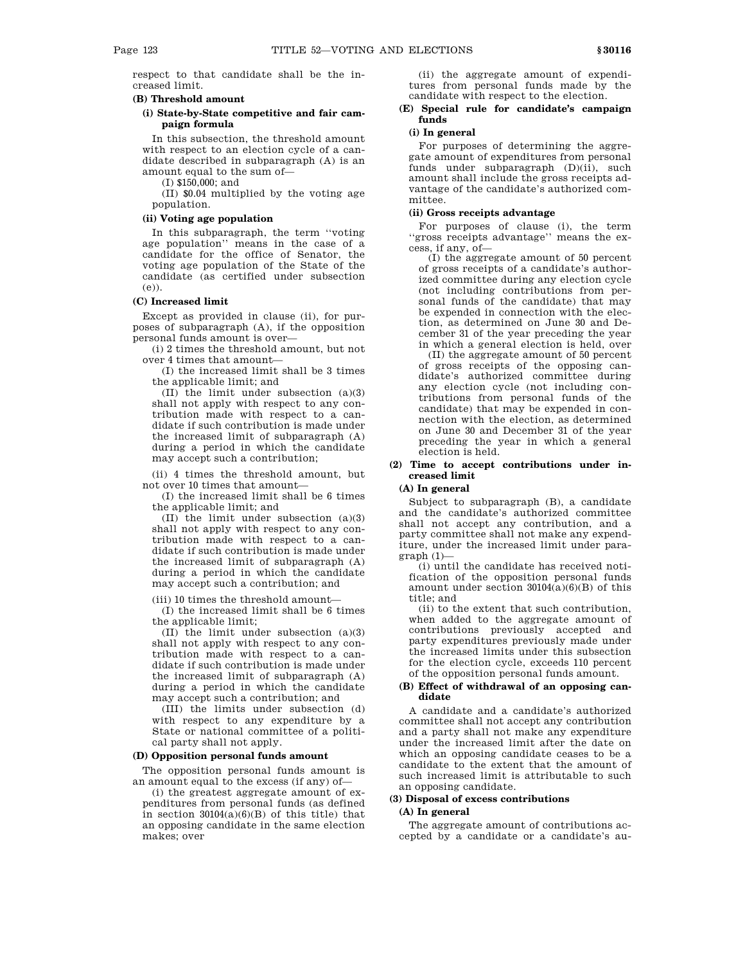respect to that candidate shall be the increased limit.

# **(B) Threshold amount**

# **(i) State-by-State competitive and fair campaign formula**

In this subsection, the threshold amount with respect to an election cycle of a candidate described in subparagraph (A) is an amount equal to the sum of—

(I) \$150,000; and

(II) \$0.04 multiplied by the voting age population.

# **(ii) Voting age population**

In this subparagraph, the term ''voting age population'' means in the case of a candidate for the office of Senator, the voting age population of the State of the candidate (as certified under subsection (e)).

# **(C) Increased limit**

Except as provided in clause (ii), for purposes of subparagraph (A), if the opposition personal funds amount is over—

(i) 2 times the threshold amount, but not over 4 times that amount—

(I) the increased limit shall be 3 times the applicable limit; and

(II) the limit under subsection (a)(3) shall not apply with respect to any contribution made with respect to a candidate if such contribution is made under the increased limit of subparagraph (A) during a period in which the candidate may accept such a contribution;

(ii) 4 times the threshold amount, but not over 10 times that amount—

(I) the increased limit shall be 6 times the applicable limit; and

(II) the limit under subsection (a)(3) shall not apply with respect to any contribution made with respect to a candidate if such contribution is made under the increased limit of subparagraph (A) during a period in which the candidate may accept such a contribution; and

(iii) 10 times the threshold amount—

(I) the increased limit shall be 6 times the applicable limit;

(II) the limit under subsection (a)(3) shall not apply with respect to any contribution made with respect to a candidate if such contribution is made under the increased limit of subparagraph (A) during a period in which the candidate may accept such a contribution; and

(III) the limits under subsection (d) with respect to any expenditure by a State or national committee of a political party shall not apply.

# **(D) Opposition personal funds amount**

The opposition personal funds amount is an amount equal to the excess (if any) of—

(i) the greatest aggregate amount of expenditures from personal funds (as defined in section  $30104(a)(6)(B)$  of this title) that an opposing candidate in the same election makes; over

(ii) the aggregate amount of expenditures from personal funds made by the candidate with respect to the election.

# **(E) Special rule for candidate's campaign funds**

# **(i) In general**

For purposes of determining the aggregate amount of expenditures from personal funds under subparagraph (D)(ii), such amount shall include the gross receipts advantage of the candidate's authorized committee.

## **(ii) Gross receipts advantage**

For purposes of clause (i), the term ''gross receipts advantage'' means the excess, if any, of—

(I) the aggregate amount of 50 percent of gross receipts of a candidate's authorized committee during any election cycle (not including contributions from personal funds of the candidate) that may be expended in connection with the election, as determined on June 30 and December 31 of the year preceding the year in which a general election is held, over

(II) the aggregate amount of 50 percent of gross receipts of the opposing candidate's authorized committee during any election cycle (not including contributions from personal funds of the candidate) that may be expended in connection with the election, as determined on June 30 and December 31 of the year preceding the year in which a general election is held.

# **(2) Time to accept contributions under increased limit**

# **(A) In general**

Subject to subparagraph (B), a candidate and the candidate's authorized committee shall not accept any contribution, and a party committee shall not make any expenditure, under the increased limit under para $graph (1)$ -

(i) until the candidate has received notification of the opposition personal funds amount under section  $30104(a)(6)(B)$  of this title; and

(ii) to the extent that such contribution, when added to the aggregate amount of contributions previously accepted and party expenditures previously made under the increased limits under this subsection for the election cycle, exceeds 110 percent of the opposition personal funds amount.

#### **(B) Effect of withdrawal of an opposing candidate**

A candidate and a candidate's authorized committee shall not accept any contribution and a party shall not make any expenditure under the increased limit after the date on which an opposing candidate ceases to be a candidate to the extent that the amount of such increased limit is attributable to such an opposing candidate.

# **(3) Disposal of excess contributions**

# **(A) In general**

The aggregate amount of contributions accepted by a candidate or a candidate's au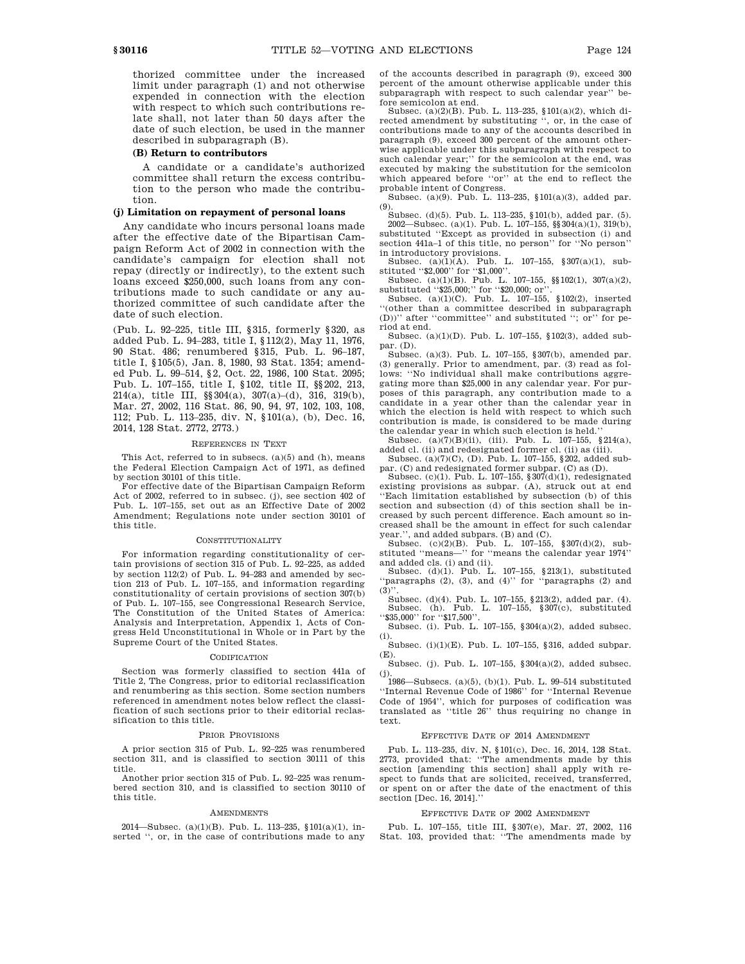thorized committee under the increased limit under paragraph (1) and not otherwise expended in connection with the election with respect to which such contributions relate shall, not later than 50 days after the date of such election, be used in the manner described in subparagraph (B).

#### **(B) Return to contributors**

A candidate or a candidate's authorized committee shall return the excess contribution to the person who made the contribution.

# **(j) Limitation on repayment of personal loans**

Any candidate who incurs personal loans made after the effective date of the Bipartisan Campaign Reform Act of 2002 in connection with the candidate's campaign for election shall not repay (directly or indirectly), to the extent such loans exceed \$250,000, such loans from any contributions made to such candidate or any authorized committee of such candidate after the date of such election.

(Pub. L. 92–225, title III, §315, formerly §320, as added Pub. L. 94–283, title I, §112(2), May 11, 1976, 90 Stat. 486; renumbered §315, Pub. L. 96–187, title I, §105(5), Jan. 8, 1980, 93 Stat. 1354; amended Pub. L. 99–514, §2, Oct. 22, 1986, 100 Stat. 2095; Pub. L. 107–155, title I, §102, title II, §§202, 213, 214(a), title III, §§304(a), 307(a)–(d), 316, 319(b), Mar. 27, 2002, 116 Stat. 86, 90, 94, 97, 102, 103, 108, 112; Pub. L. 113–235, div. N, §101(a), (b), Dec. 16, 2014, 128 Stat. 2772, 2773.)

#### REFERENCES IN TEXT

This Act, referred to in subsecs. (a)(5) and (h), means the Federal Election Campaign Act of 1971, as defined by section 30101 of this title.

For effective date of the Bipartisan Campaign Reform Act of 2002, referred to in subsec. (j), see section 402 of Pub. L. 107–155, set out as an Effective Date of 2002 Amendment; Regulations note under section 30101 of this title.

#### **CONSTITUTIONALITY**

For information regarding constitutionality of certain provisions of section 315 of Pub. L. 92–225, as added by section 112(2) of Pub. L. 94–283 and amended by section 213 of Pub. L. 107–155, and information regarding constitutionality of certain provisions of section 307(b) of Pub. L. 107–155, see Congressional Research Service, The Constitution of the United States of America: Analysis and Interpretation, Appendix 1, Acts of Congress Held Unconstitutional in Whole or in Part by the Supreme Court of the United States.

#### **CODIFICATION**

Section was formerly classified to section 441a of Title 2, The Congress, prior to editorial reclassification and renumbering as this section. Some section numbers referenced in amendment notes below reflect the classification of such sections prior to their editorial reclassification to this title.

#### PRIOR PROVISIONS

A prior section 315 of Pub. L. 92–225 was renumbered section 311, and is classified to section 30111 of this title.

Another prior section 315 of Pub. L. 92–225 was renumbered section 310, and is classified to section 30110 of this title.

#### AMENDMENTS

2014—Subsec. (a)(1)(B). Pub. L. 113–235, §101(a)(1), inserted '', or, in the case of contributions made to any of the accounts described in paragraph (9), exceed 300 percent of the amount otherwise applicable under this subparagraph with respect to such calendar year'' before semicolon at end.

Subsec. (a)(2)(B). Pub. L. 113–235, §101(a)(2), which directed amendment by substituting '', or, in the case of contributions made to any of the accounts described in paragraph (9), exceed 300 percent of the amount otherwise applicable under this subparagraph with respect to such calendar year;'' for the semicolon at the end, was executed by making the substitution for the semicolon which appeared before ''or'' at the end to reflect the probable intent of Congress.

Subsec. (a)(9). Pub. L. 113–235, §101(a)(3), added par. (9).

Subsec. (d)(5). Pub. L. 113–235, §101(b), added par. (5). 2002—Subsec. (a)(1). Pub. L. 107–155, §§304(a)(1), 319(b), substituted ''Except as provided in subsection (i) and section 441a–1 of this title, no person'' for ''No person''

in introductory provisions.<br>
Subsec. (a)(1)(A). Pub. L. 107–155, §307(a)(1), sub-<br>
stituted '\$2,000' for '\$1,000'.<br>
Subsec. (a)(1)(B). Pub. L. 107–155, §§102(1), 307(a)(2),

substituted "\$25,000;" for "\$20,000; or".<br>Subsec. (a)(1)(C). Pub. L. 107–155, §102(2), inserted

''(other than a committee described in subparagraph (D))'' after ''committee'' and substituted ''; or'' for period at end.

Subsec. (a)(1)(D). Pub. L. 107–155, §102(3), added subpar. (D).

Subsec. (a)(3). Pub. L. 107–155, §307(b), amended par. (3) generally. Prior to amendment, par. (3) read as follows: ''No individual shall make contributions aggregating more than \$25,000 in any calendar year. For purposes of this paragraph, any contribution made to a candidate in a year other than the calendar year in which the election is held with respect to which such contribution is made, is considered to be made during the calendar year in which such election is held.''

Subsec.  $(a)(7)(B)(ii)$ , (iii). Pub. L. 107–155, §214(a), added cl. (ii) and redesignated former cl. (ii) as (iii). Subsec. (a)(7)(C), (D). Pub. L. 107–155, §202, added sub-

par. (C) and redesignated former subpar. (C) as (D).

Subsec. (c)(1). Pub. L. 107–155, §307(d)(1), redesignated existing provisions as subpar. (A), struck out at end ''Each limitation established by subsection (b) of this section and subsection (d) of this section shall be increased by such percent difference. Each amount so increased shall be the amount in effect for such calendar

year.'', and added subpars. (B) and (C). Subsec. (c)(2)(B). Pub. L. 107–155, §307(d)(2), sub-stituted ''means—'' for ''means the calendar year 1974''

and added cls. (i) and (ii). Subsec. (d)(1). Pub. L. 107–155, §213(1), substituted 'paragraphs (2), (3), and (4)'' for "paragraphs (2) and  $(3)'$ 

Subsec. (d)(4). Pub. L. 107–155, §213(2), added par. (4).<br>Subsec. (h). Pub. L. 107–155, §307(c), substituted<br>''\$35,000'' for ''\$17,500''.

Subsec. (i). Pub. L. 107–155, §304(a)(2), added subsec. (i).

Subsec. (i)(1)(E). Pub. L. 107–155, §316, added subpar. (E).

Subsec. (j). Pub. L. 107–155, §304(a)(2), added subsec.

(j). 1986—Subsecs. (a)(5), (b)(1). Pub. L. 99–514 substituted ''Internal Revenue Code of 1986'' for ''Internal Revenue Code of 1954'', which for purposes of codification was translated as ''title 26'' thus requiring no change in text.

## EFFECTIVE DATE OF 2014 AMENDMENT

Pub. L. 113–235, div. N, §101(c), Dec. 16, 2014, 128 Stat. 2773, provided that: ''The amendments made by this section [amending this section] shall apply with respect to funds that are solicited, received, transferred, or spent on or after the date of the enactment of this section [Dec. 16, 2014].''

#### EFFECTIVE DATE OF 2002 AMENDMENT

Pub. L. 107–155, title III, §307(e), Mar. 27, 2002, 116 Stat. 103, provided that: ''The amendments made by